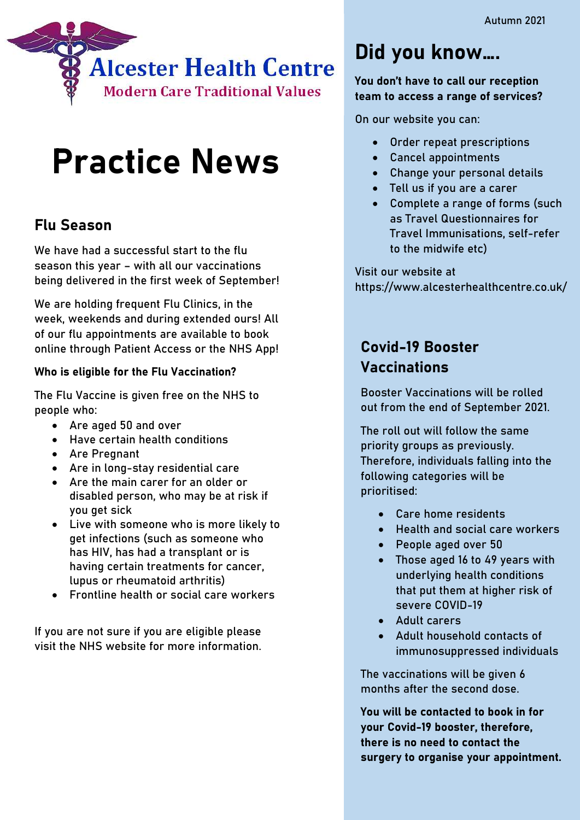

# Practice News

#### Flu Season

We have had a successful start to the flu season this year – with all our vaccinations being delivered in the first week of September!

We are holding frequent Flu Clinics, in the week, weekends and during extended ours! All of our flu appointments are available to book online through Patient Access or the NHS App!

#### Who is eligible for the Flu Vaccination?

The Flu Vaccine is given free on the NHS to people who:

- Are aged 50 and over
- Have certain health conditions
- Are Pregnant
- Are in long-stay residential care
- Are the main carer for an older or disabled person, who may be at risk if you get sick
- Live with someone who is more likely to get infections (such as someone who has HIV, has had a transplant or is having certain treatments for cancer, lupus or rheumatoid arthritis)
- Frontline health or social care workers

If you are not sure if you are eligible please visit the NHS website for more information.

## Did you know….

#### You don't have to call our reception team to access a range of services?

On our website you can:

- Order repeat prescriptions
- Cancel appointments
- Change your personal details
- Tell us if you are a carer
- Complete a range of forms (such as Travel Questionnaires for Travel Immunisations, self-refer to the midwife etc)

Visit our website at https://www.alcesterhealthcentre.co.uk/

### Covid-19 Booster Vaccinations

Booster Vaccinations will be rolled out from the end of September 2021.

The roll out will follow the same priority groups as previously. Therefore, individuals falling into the following categories will be prioritised:

- Care home residents
- Health and social care workers
- People aged over 50
- Those aged 16 to 49 years with underlying health conditions that put them at higher risk of severe COVID-19
- Adult carers
- Adult household contacts of immunosuppressed individuals

The vaccinations will be given 6 months after the second dose.

You will be contacted to book in for your Covid-19 booster, therefore, there is no need to contact the surgery to organise your appointment.